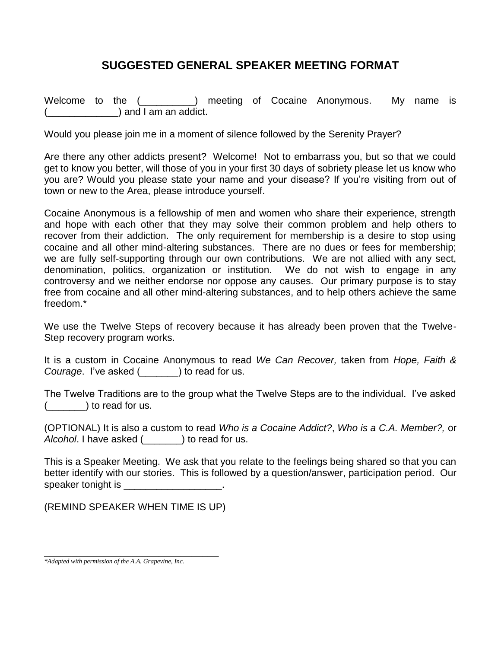## **SUGGESTED GENERAL SPEAKER MEETING FORMAT**

Welcome to the (  $\Box$  ) meeting of Cocaine Anonymous. My name is  $)$  and I am an addict.

Would you please join me in a moment of silence followed by the Serenity Prayer?

Are there any other addicts present? Welcome! Not to embarrass you, but so that we could get to know you better, will those of you in your first 30 days of sobriety please let us know who you are? Would you please state your name and your disease? If you're visiting from out of town or new to the Area, please introduce yourself.

Cocaine Anonymous is a fellowship of men and women who share their experience, strength and hope with each other that they may solve their common problem and help others to recover from their addiction. The only requirement for membership is a desire to stop using cocaine and all other mind-altering substances. There are no dues or fees for membership; we are fully self-supporting through our own contributions. We are not allied with any sect, denomination, politics, organization or institution. We do not wish to engage in any controversy and we neither endorse nor oppose any causes. Our primary purpose is to stay free from cocaine and all other mind-altering substances, and to help others achieve the same freedom.\*

We use the Twelve Steps of recovery because it has already been proven that the Twelve-Step recovery program works.

It is a custom in Cocaine Anonymous to read *We Can Recover,* taken from *Hope, Faith & Courage*. I've asked (\_\_\_\_\_\_\_) to read for us.

The Twelve Traditions are to the group what the Twelve Steps are to the individual. I've asked  $($   $)$  to read for us.

(OPTIONAL) It is also a custom to read *Who is a Cocaine Addict?*, *Who is a C.A. Member?,* or *Alcohol*. I have asked (\_\_\_\_\_\_\_) to read for us.

This is a Speaker Meeting. We ask that you relate to the feelings being shared so that you can better identify with our stories. This is followed by a question/answer, participation period. Our speaker tonight is **EXECUTE:** 

(REMIND SPEAKER WHEN TIME IS UP)

\_\_\_\_\_\_\_\_\_\_\_\_\_\_\_\_\_\_\_\_\_\_\_\_\_\_\_\_\_\_\_\_ *\*Adapted with permission of the A.A. Grapevine, Inc.*